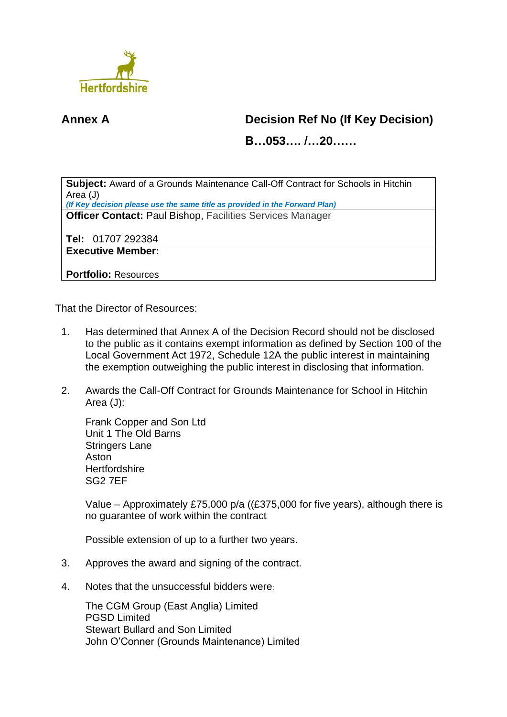

## **Annex A Decision Ref No (If Key Decision)**

**B…053…. /…20……**

**Subject:** Award of a Grounds Maintenance Call-Off Contract for Schools in Hitchin Area (J)

*(If Key decision please use the same title as provided in the Forward Plan)* **Officer Contact:** Paul Bishop, Facilities Services Manager

**Tel:** 01707 292384

**Executive Member:**

**Portfolio:** Resources

That the Director of Resources:

- 1. Has determined that Annex A of the Decision Record should not be disclosed to the public as it contains exempt information as defined by Section 100 of the Local Government Act 1972, Schedule 12A the public interest in maintaining the exemption outweighing the public interest in disclosing that information.
- 2. Awards the Call-Off Contract for Grounds Maintenance for School in Hitchin Area (J):

Frank Copper and Son Ltd Unit 1 The Old Barns Stringers Lane Aston **Hertfordshire** SG2 7EF

Value – Approximately £75,000 p/a ((£375,000 for five years), although there is no guarantee of work within the contract

Possible extension of up to a further two years.

- 3. Approves the award and signing of the contract.
- 4. Notes that the unsuccessful bidders were:

The CGM Group (East Anglia) Limited PGSD Limited Stewart Bullard and Son Limited John O'Conner (Grounds Maintenance) Limited